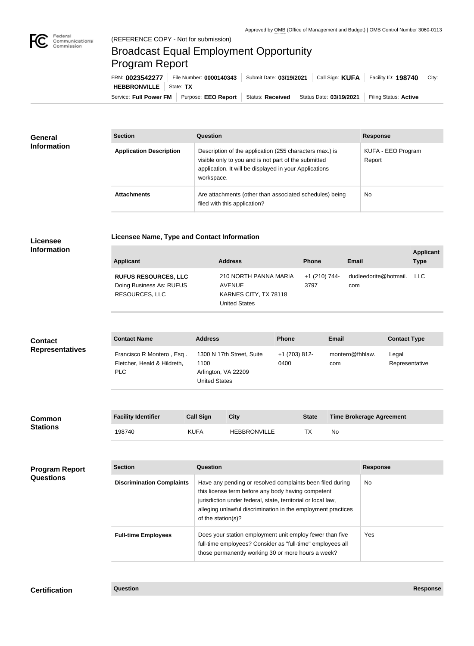

**COL** 

## Broadcast Equal Employment Opportunity Program Report

**Licensee Name, Type and Contact Information**

Service: Full Power FM Purpose: EEO Report | Status: Received | Status Date: 03/19/2021 | Filing Status: Active **HEBBRONVILLE** State: **TX** FRN: **0023542277** File Number: **0000140343** Submit Date: **03/19/2021** Call Sign: **KUFA** Facility ID: **198740** City:

| <b>General</b><br><b>Information</b> | <b>Section</b>                 | <b>Question</b>                                                                                                                                                                         | <b>Response</b>              |
|--------------------------------------|--------------------------------|-----------------------------------------------------------------------------------------------------------------------------------------------------------------------------------------|------------------------------|
|                                      | <b>Application Description</b> | Description of the application (255 characters max.) is<br>visible only to you and is not part of the submitted<br>application. It will be displayed in your Applications<br>workspace. | KUFA - EEO Program<br>Report |
|                                      | <b>Attachments</b>             | Are attachments (other than associated schedules) being<br>filed with this application?                                                                                                 | No                           |

## **Licensee Information**

| <b>Applicant</b>                                                                 | <b>Address</b>                                                                          | <b>Phone</b>          | Email                            | <b>Applicant</b><br>Type |
|----------------------------------------------------------------------------------|-----------------------------------------------------------------------------------------|-----------------------|----------------------------------|--------------------------|
| <b>RUFUS RESOURCES, LLC</b><br>Doing Business As: RUFUS<br><b>RESOURCES, LLC</b> | 210 NORTH PANNA MARIA<br><b>AVENUE</b><br>KARNES CITY, TX 78118<br><b>United States</b> | +1 (210) 744-<br>3797 | dudleedorite@hotmail. LLC<br>com |                          |

| <b>Contact</b><br><b>Representatives</b> | <b>Contact Name</b>                                              | <b>Address</b>                                                                   |             | <b>Phone</b>          | <b>Email</b>                    | <b>Contact Type</b>     |
|------------------------------------------|------------------------------------------------------------------|----------------------------------------------------------------------------------|-------------|-----------------------|---------------------------------|-------------------------|
|                                          | Francisco R Montero, Esq.<br>Fletcher, Heald & Hildreth,<br>PLC. | 1300 N 17th Street, Suite<br>1100<br>Arlington, VA 22209<br><b>United States</b> |             | +1 (703) 812-<br>0400 | montero@fhhlaw.<br>com          | Legal<br>Representative |
|                                          |                                                                  |                                                                                  |             |                       |                                 |                         |
| <b>Common</b>                            | <b>Facility Identifier</b>                                       | <b>Call Sign</b>                                                                 | <b>City</b> | <b>State</b>          | <b>Time Brokerage Agreement</b> |                         |

| <b>Common</b>   | <b>Facility identifier</b> | Gall Sign   | <b>UITV</b>         | State | Time brokerage Agreement |
|-----------------|----------------------------|-------------|---------------------|-------|--------------------------|
| <b>Stations</b> | 198740                     | <b>KUFA</b> | <b>HEBBRONVILLE</b> |       | No                       |

| <b>Program Report</b><br><b>Questions</b> | <b>Section</b>                   | Question                                                                                                                                                                                                                                                              | <b>Response</b> |
|-------------------------------------------|----------------------------------|-----------------------------------------------------------------------------------------------------------------------------------------------------------------------------------------------------------------------------------------------------------------------|-----------------|
|                                           | <b>Discrimination Complaints</b> | Have any pending or resolved complaints been filed during<br>this license term before any body having competent<br>jurisdiction under federal, state, territorial or local law,<br>alleging unlawful discrimination in the employment practices<br>of the station(s)? | No.             |
|                                           | <b>Full-time Employees</b>       | Does your station employment unit employ fewer than five<br>full-time employees? Consider as "full-time" employees all<br>those permanently working 30 or more hours a week?                                                                                          | Yes.            |